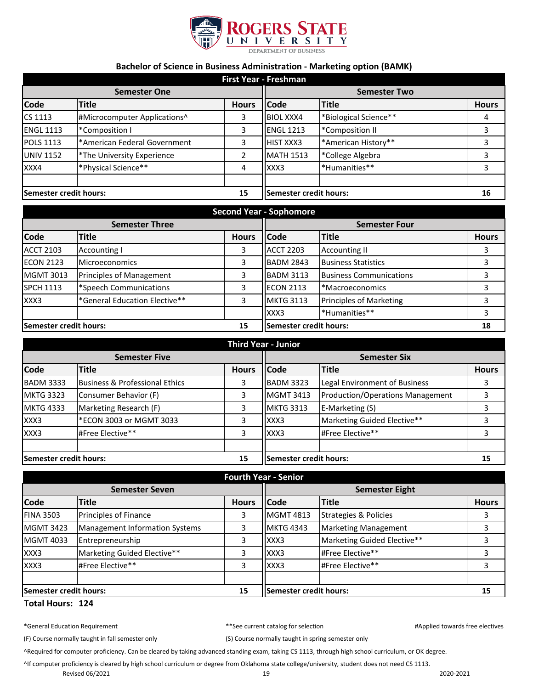

## **Bachelor of Science in Business Administration - Marketing option (BAMK)**

| <b>First Year - Freshman</b> |                              |              |                        |                        |              |
|------------------------------|------------------------------|--------------|------------------------|------------------------|--------------|
| <b>Semester One</b>          |                              |              | <b>Semester Two</b>    |                        |              |
| <b>Code</b>                  | <b>Title</b>                 | <b>Hours</b> | llCode                 | <b>Title</b>           | <b>Hours</b> |
| CS 1113                      | #Microcomputer Applications^ | 3            | <b>BIOL XXX4</b>       | *Biological Science**  | 4            |
| <b>ENGL 1113</b>             | *Composition I               | 3            | <b>ENGL 1213</b>       | <b>*Composition II</b> | 3            |
| <b>POLS 1113</b>             | *American Federal Government | 3            | HIST XXX3              | *American History**    |              |
| <b>UNIV 1152</b>             | *The University Experience   | 2            | <b>MATH 1513</b>       | *College Algebra       | 3            |
| XXX4                         | *Physical Science**          | 4            | XXX3                   | *Humanities**          | 3            |
| Semester credit hours:       |                              | 15           | Semester credit hours: |                        | 16           |

| Second Year - Sophomore      |                                 |                        |                      |                                |              |
|------------------------------|---------------------------------|------------------------|----------------------|--------------------------------|--------------|
| <b>Semester Three</b>        |                                 |                        | <b>Semester Four</b> |                                |              |
| <b>Code</b>                  | Title                           | <b>Hours</b>           | <b>Code</b>          | <b>Title</b>                   | <b>Hours</b> |
| <b>ACCT 2103</b>             | <b>Accounting I</b>             | 3                      | <b>ACCT 2203</b>     | <b>Accounting II</b>           |              |
| <b>ECON 2123</b>             | <b>Microeconomics</b>           | 3                      | <b>BADM 2843</b>     | <b>Business Statistics</b>     |              |
| <b>MGMT 3013</b>             | <b>Principles of Management</b> | 3                      | <b>BADM 3113</b>     | <b>Business Communications</b> |              |
| <b>SPCH 1113</b>             | *Speech Communications          | 3                      | <b>ECON 2113</b>     | *Macroeconomics                | 3            |
| XXX3                         | *General Education Elective**   | 3                      | <b>MKTG 3113</b>     | <b>Principles of Marketing</b> |              |
|                              |                                 |                        | XXX3                 | *Humanities**                  |              |
| Semester credit hours:<br>15 |                                 | Semester credit hours: |                      | 18                             |              |

| <b>Third Year - Junior</b> |                                |                     |                        |                                         |              |
|----------------------------|--------------------------------|---------------------|------------------------|-----------------------------------------|--------------|
| <b>Semester Five</b>       |                                | <b>Semester Six</b> |                        |                                         |              |
| <b>Code</b>                | <b>Title</b>                   | <b>Hours</b>        | <b>Code</b>            | <b>Title</b>                            | <b>Hours</b> |
| <b>BADM 3333</b>           | Business & Professional Ethics | 3                   | <b>BADM 3323</b>       | Legal Environment of Business           |              |
| <b>MKTG 3323</b>           | Consumer Behavior (F)          | 3                   | <b>MGMT 3413</b>       | <b>Production/Operations Management</b> |              |
| <b>MKTG 4333</b>           | Marketing Research (F)         | 3                   | <b>MKTG 3313</b>       | E-Marketing (S)                         |              |
| XXX3                       | *ECON 3003 or MGMT 3033        | 3                   | XXX3                   | Marketing Guided Elective**             |              |
| XXX3                       | #Free Elective**               | 3                   | XXX3                   | #Free Elective**                        |              |
|                            |                                |                     |                        |                                         |              |
| Semester credit hours:     |                                | 15                  | Semester credit hours: |                                         | 15           |

| <b>Fourth Year - Senior</b>         |                                       |                               |                       |                             |              |
|-------------------------------------|---------------------------------------|-------------------------------|-----------------------|-----------------------------|--------------|
| <b>Semester Seven</b>               |                                       |                               | <b>Semester Eight</b> |                             |              |
| <b>Code</b>                         | <b>Title</b>                          | <b>Hours</b>                  | <b>Code</b>           | <b>Title</b>                | <b>Hours</b> |
| <b>FINA 3503</b>                    | Principles of Finance                 | 3                             | <b>MGMT 4813</b>      | Strategies & Policies       |              |
| <b>MGMT 3423</b>                    | <b>Management Information Systems</b> | 3                             | <b>MKTG 4343</b>      | <b>Marketing Management</b> |              |
| <b>MGMT 4033</b>                    | Entrepreneurship                      | 3                             | XXX3                  | Marketing Guided Elective** |              |
| XXX3                                | Marketing Guided Elective**           | 3                             | XXX3                  | #Free Elective**            |              |
| XXX3                                | #Free Elective**                      | 3                             | XXX3                  | #Free Elective**            |              |
|                                     |                                       |                               |                       |                             |              |
| 15<br><b>Semester credit hours:</b> |                                       | <b>Semester credit hours:</b> |                       | 15                          |              |

## **Total Hours: 124**

|  |  | *General Education Requirement |
|--|--|--------------------------------|
|--|--|--------------------------------|

t the current catalog for selection and the property of the selectives selectives and the selectives of the selectives of the selectives of the selectives of the selectives of the selectives of the selectives of the select

(F) Course normally taught in fall semester only (S) Course normally taught in spring semester only

^Required for computer proficiency. Can be cleared by taking advanced standing exam, taking CS 1113, through high school curriculum, or OK degree.

^If computer proficiency is cleared by high school curriculum or degree from Oklahoma state college/university, student does not need CS 1113.

Revised 06/2021 2020-2021 2020-2021 2020-2021 2020-2021 2020-2021 2020-2021